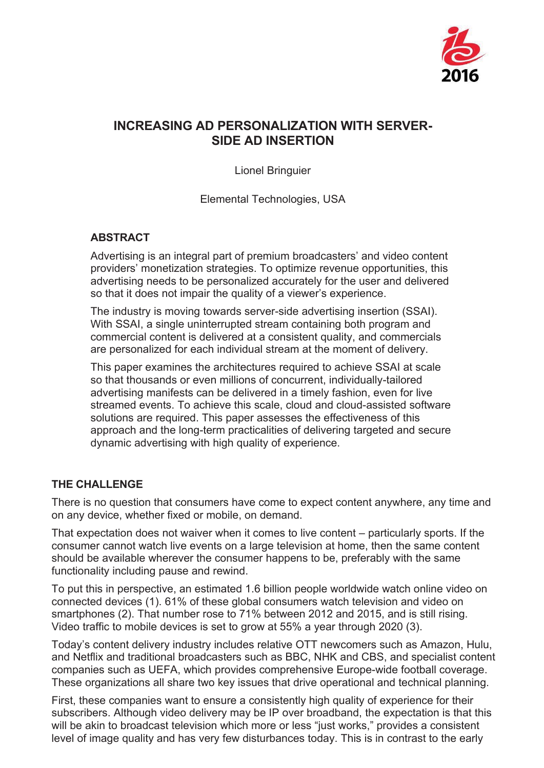

# **INCREASING AD PERSONALIZATION WITH SERVER-SIDE AD INSERTION**

Lionel Bringuier

Elemental Technologies, USA

### **ABSTRACT**

Advertising is an integral part of premium broadcasters' and video content providers' monetization strategies. To optimize revenue opportunities, this advertising needs to be personalized accurately for the user and delivered so that it does not impair the quality of a viewer's experience.

The industry is moving towards server-side advertising insertion (SSAI). With SSAI, a single uninterrupted stream containing both program and commercial content is delivered at a consistent quality, and commercials are personalized for each individual stream at the moment of delivery.

This paper examines the architectures required to achieve SSAI at scale so that thousands or even millions of concurrent, individually-tailored advertising manifests can be delivered in a timely fashion, even for live streamed events. To achieve this scale, cloud and cloud-assisted software solutions are required. This paper assesses the effectiveness of this approach and the long-term practicalities of delivering targeted and secure dynamic advertising with high quality of experience.

### **THE CHALLENGE**

There is no question that consumers have come to expect content anywhere, any time and on any device, whether fixed or mobile, on demand.

That expectation does not waiver when it comes to live content – particularly sports. If the consumer cannot watch live events on a large television at home, then the same content should be available wherever the consumer happens to be, preferably with the same functionality including pause and rewind.

To put this in perspective, an estimated 1.6 billion people worldwide watch online video on connected devices (1). 61% of these global consumers watch television and video on smartphones (2). That number rose to 71% between 2012 and 2015, and is still rising. Video traffic to mobile devices is set to grow at 55% a year through 2020 (3).

Today's content delivery industry includes relative OTT newcomers such as Amazon, Hulu, and Netflix and traditional broadcasters such as BBC, NHK and CBS, and specialist content companies such as UEFA, which provides comprehensive Europe-wide football coverage. These organizations all share two key issues that drive operational and technical planning.

First, these companies want to ensure a consistently high quality of experience for their subscribers. Although video delivery may be IP over broadband, the expectation is that this will be akin to broadcast television which more or less "just works," provides a consistent level of image quality and has very few disturbances today. This is in contrast to the early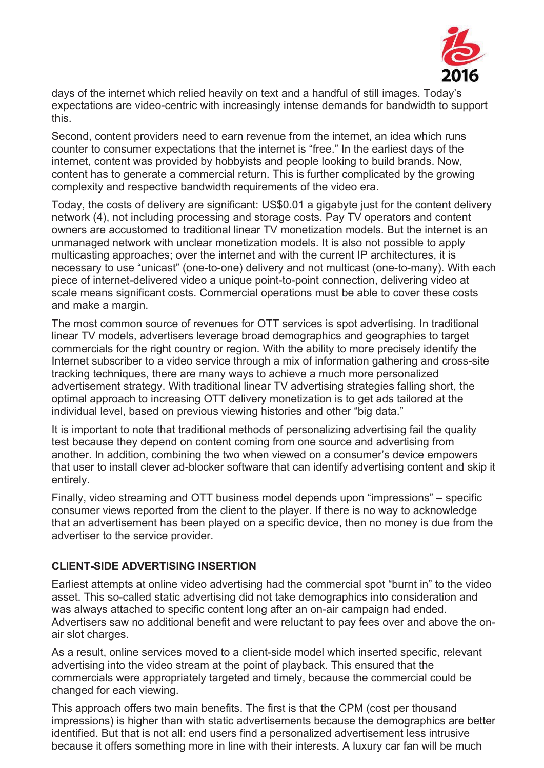

days of the internet which relied heavily on text and a handful of still images. Today's expectations are video-centric with increasingly intense demands for bandwidth to support this.

Second, content providers need to earn revenue from the internet, an idea which runs counter to consumer expectations that the internet is "free." In the earliest days of the internet, content was provided by hobbyists and people looking to build brands. Now, content has to generate a commercial return. This is further complicated by the growing complexity and respective bandwidth requirements of the video era.

Today, the costs of delivery are significant: US\$0.01 a gigabyte just for the content delivery network (4), not including processing and storage costs. Pay TV operators and content owners are accustomed to traditional linear TV monetization models. But the internet is an unmanaged network with unclear monetization models. It is also not possible to apply multicasting approaches; over the internet and with the current IP architectures, it is necessary to use "unicast" (one-to-one) delivery and not multicast (one-to-many). With each piece of internet-delivered video a unique point-to-point connection, delivering video at scale means significant costs. Commercial operations must be able to cover these costs and make a margin.

The most common source of revenues for OTT services is spot advertising. In traditional linear TV models, advertisers leverage broad demographics and geographies to target commercials for the right country or region. With the ability to more precisely identify the Internet subscriber to a video service through a mix of information gathering and cross-site tracking techniques, there are many ways to achieve a much more personalized advertisement strategy. With traditional linear TV advertising strategies falling short, the optimal approach to increasing OTT delivery monetization is to get ads tailored at the individual level, based on previous viewing histories and other "big data."

It is important to note that traditional methods of personalizing advertising fail the quality test because they depend on content coming from one source and advertising from another. In addition, combining the two when viewed on a consumer's device empowers that user to install clever ad-blocker software that can identify advertising content and skip it entirely.

Finally, video streaming and OTT business model depends upon "impressions" – specific consumer views reported from the client to the player. If there is no way to acknowledge that an advertisement has been played on a specific device, then no money is due from the advertiser to the service provider.

### **CLIENT-SIDE ADVERTISING INSERTION**

Earliest attempts at online video advertising had the commercial spot "burnt in" to the video asset. This so-called static advertising did not take demographics into consideration and was always attached to specific content long after an on-air campaign had ended. Advertisers saw no additional benefit and were reluctant to pay fees over and above the onair slot charges.

As a result, online services moved to a client-side model which inserted specific, relevant advertising into the video stream at the point of playback. This ensured that the commercials were appropriately targeted and timely, because the commercial could be changed for each viewing.

This approach offers two main benefits. The first is that the CPM (cost per thousand impressions) is higher than with static advertisements because the demographics are better identified. But that is not all: end users find a personalized advertisement less intrusive because it offers something more in line with their interests. A luxury car fan will be much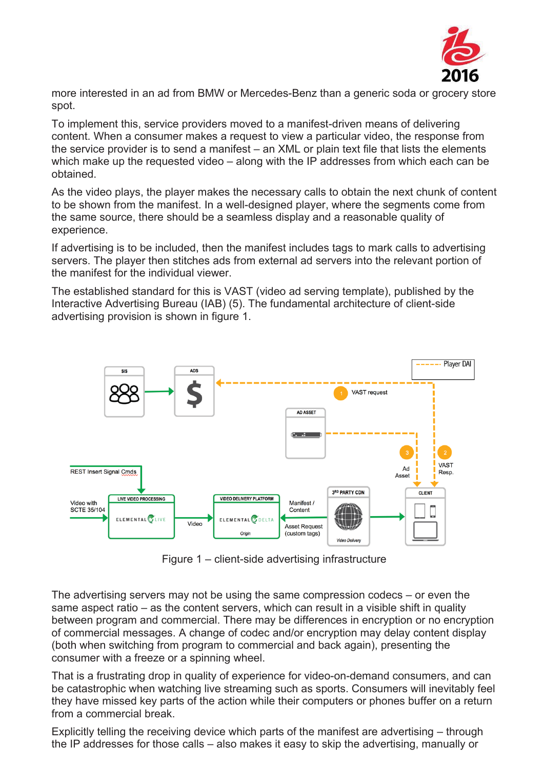

more interested in an ad from BMW or Mercedes-Benz than a generic soda or grocery store spot.

To implement this, service providers moved to a manifest-driven means of delivering content. When a consumer makes a request to view a particular video, the response from the service provider is to send a manifest – an XML or plain text file that lists the elements which make up the requested video – along with the IP addresses from which each can be obtained.

As the video plays, the player makes the necessary calls to obtain the next chunk of content to be shown from the manifest. In a well-designed player, where the segments come from the same source, there should be a seamless display and a reasonable quality of experience.

If advertising is to be included, then the manifest includes tags to mark calls to advertising servers. The player then stitches ads from external ad servers into the relevant portion of the manifest for the individual viewer.

The established standard for this is VAST (video ad serving template), published by the Interactive Advertising Bureau (IAB) (5). The fundamental architecture of client-side advertising provision is shown in figure 1.



Figure 1 – client-side advertising infrastructure

The advertising servers may not be using the same compression codecs – or even the same aspect ratio – as the content servers, which can result in a visible shift in quality between program and commercial. There may be differences in encryption or no encryption of commercial messages. A change of codec and/or encryption may delay content display (both when switching from program to commercial and back again), presenting the consumer with a freeze or a spinning wheel.

That is a frustrating drop in quality of experience for video-on-demand consumers, and can be catastrophic when watching live streaming such as sports. Consumers will inevitably feel they have missed key parts of the action while their computers or phones buffer on a return from a commercial break.

Explicitly telling the receiving device which parts of the manifest are advertising – through the IP addresses for those calls – also makes it easy to skip the advertising, manually or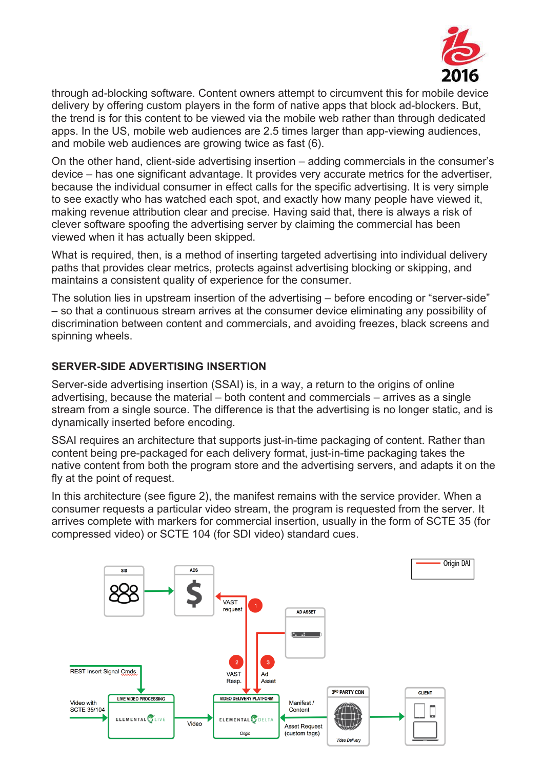

through ad-blocking software. Content owners attempt to circumvent this for mobile device delivery by offering custom players in the form of native apps that block ad-blockers. But, the trend is for this content to be viewed via the mobile web rather than through dedicated apps. In the US, mobile web audiences are 2.5 times larger than app-viewing audiences, and mobile web audiences are growing twice as fast (6).

On the other hand, client-side advertising insertion – adding commercials in the consumer's device – has one significant advantage. It provides very accurate metrics for the advertiser, because the individual consumer in effect calls for the specific advertising. It is very simple to see exactly who has watched each spot, and exactly how many people have viewed it, making revenue attribution clear and precise. Having said that, there is always a risk of clever software spoofing the advertising server by claiming the commercial has been viewed when it has actually been skipped.

What is required, then, is a method of inserting targeted advertising into individual delivery paths that provides clear metrics, protects against advertising blocking or skipping, and maintains a consistent quality of experience for the consumer.

The solution lies in upstream insertion of the advertising – before encoding or "server-side" – so that a continuous stream arrives at the consumer device eliminating any possibility of discrimination between content and commercials, and avoiding freezes, black screens and spinning wheels.

### **SERVER-SIDE ADVERTISING INSERTION**

Server-side advertising insertion (SSAI) is, in a way, a return to the origins of online advertising, because the material – both content and commercials – arrives as a single stream from a single source. The difference is that the advertising is no longer static, and is dynamically inserted before encoding.

SSAI requires an architecture that supports just-in-time packaging of content. Rather than content being pre-packaged for each delivery format, just-in-time packaging takes the native content from both the program store and the advertising servers, and adapts it on the fly at the point of request.

In this architecture (see figure 2), the manifest remains with the service provider. When a consumer requests a particular video stream, the program is requested from the server. It arrives complete with markers for commercial insertion, usually in the form of SCTE 35 (for compressed video) or SCTE 104 (for SDI video) standard cues.

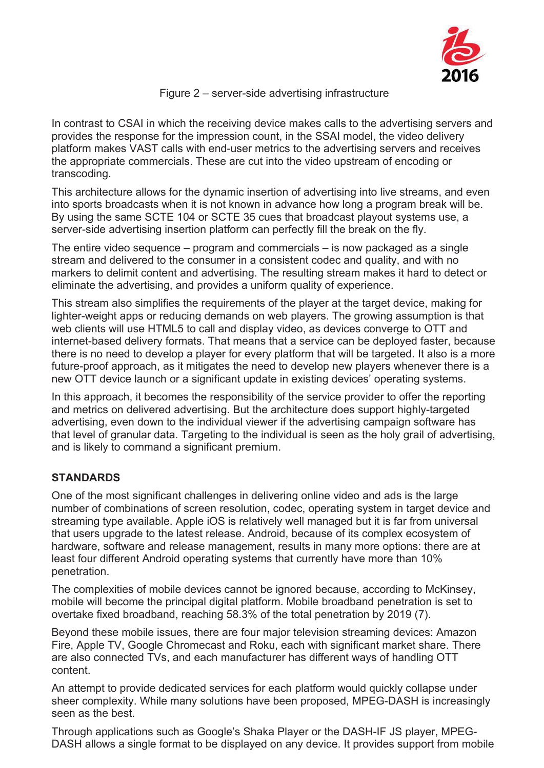

#### Figure 2 – server-side advertising infrastructure

In contrast to CSAI in which the receiving device makes calls to the advertising servers and provides the response for the impression count, in the SSAI model, the video delivery platform makes VAST calls with end-user metrics to the advertising servers and receives the appropriate commercials. These are cut into the video upstream of encoding or transcoding.

This architecture allows for the dynamic insertion of advertising into live streams, and even into sports broadcasts when it is not known in advance how long a program break will be. By using the same SCTE 104 or SCTE 35 cues that broadcast playout systems use, a server-side advertising insertion platform can perfectly fill the break on the fly.

The entire video sequence – program and commercials – is now packaged as a single stream and delivered to the consumer in a consistent codec and quality, and with no markers to delimit content and advertising. The resulting stream makes it hard to detect or eliminate the advertising, and provides a uniform quality of experience.

This stream also simplifies the requirements of the player at the target device, making for lighter-weight apps or reducing demands on web players. The growing assumption is that web clients will use HTML5 to call and display video, as devices converge to OTT and internet-based delivery formats. That means that a service can be deployed faster, because there is no need to develop a player for every platform that will be targeted. It also is a more future-proof approach, as it mitigates the need to develop new players whenever there is a new OTT device launch or a significant update in existing devices' operating systems.

In this approach, it becomes the responsibility of the service provider to offer the reporting and metrics on delivered advertising. But the architecture does support highly-targeted advertising, even down to the individual viewer if the advertising campaign software has that level of granular data. Targeting to the individual is seen as the holy grail of advertising, and is likely to command a significant premium.

### **STANDARDS**

One of the most significant challenges in delivering online video and ads is the large number of combinations of screen resolution, codec, operating system in target device and streaming type available. Apple iOS is relatively well managed but it is far from universal that users upgrade to the latest release. Android, because of its complex ecosystem of hardware, software and release management, results in many more options: there are at least four different Android operating systems that currently have more than 10% penetration.

The complexities of mobile devices cannot be ignored because, according to McKinsey, mobile will become the principal digital platform. Mobile broadband penetration is set to overtake fixed broadband, reaching 58.3% of the total penetration by 2019 (7).

Beyond these mobile issues, there are four major television streaming devices: Amazon Fire, Apple TV, Google Chromecast and Roku, each with significant market share. There are also connected TVs, and each manufacturer has different ways of handling OTT content.

An attempt to provide dedicated services for each platform would quickly collapse under sheer complexity. While many solutions have been proposed, MPEG-DASH is increasingly seen as the best.

Through applications such as Google's Shaka Player or the DASH-IF JS player, MPEG-DASH allows a single format to be displayed on any device. It provides support from mobile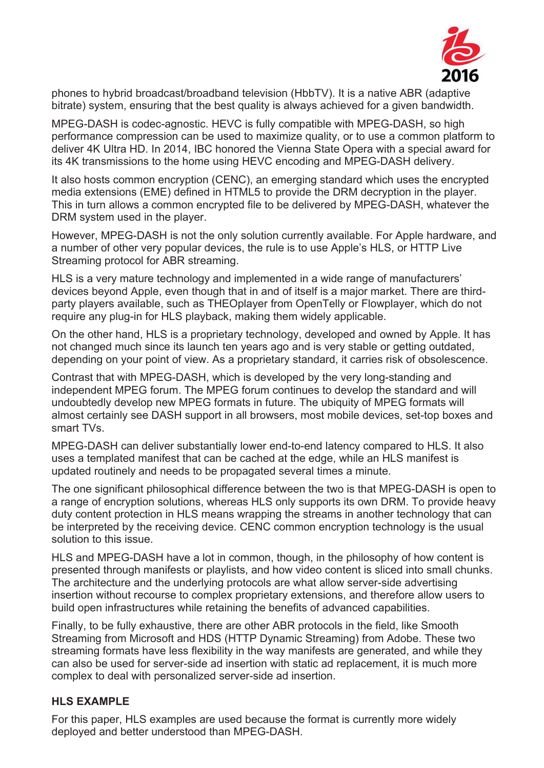

phones to hybrid broadcast/broadband television (HbbTV). It is a native ABR (adaptive bitrate) system, ensuring that the best quality is always achieved for a given bandwidth.

MPEG-DASH is codec-agnostic. HEVC is fully compatible with MPEG-DASH, so high performance compression can be used to maximize quality, or to use a common platform to deliver 4K Ultra HD. In 2014, IBC honored the Vienna State Opera with a special award for its 4K transmissions to the home using HEVC encoding and MPEG-DASH delivery.

It also hosts common encryption (CENC), an emerging standard which uses the encrypted media extensions (EME) defined in HTML5 to provide the DRM decryption in the player. This in turn allows a common encrypted file to be delivered by MPEG-DASH, whatever the DRM system used in the player.

However, MPEG-DASH is not the only solution currently available. For Apple hardware, and a number of other very popular devices, the rule is to use Apple's HLS, or HTTP Live Streaming protocol for ABR streaming.

HLS is a very mature technology and implemented in a wide range of manufacturers' devices beyond Apple, even though that in and of itself is a major market. There are thirdparty players available, such as THEOplayer from OpenTelly or Flowplayer, which do not require any plug-in for HLS playback, making them widely applicable.

On the other hand, HLS is a proprietary technology, developed and owned by Apple. It has not changed much since its launch ten years ago and is very stable or getting outdated, depending on your point of view. As a proprietary standard, it carries risk of obsolescence.

Contrast that with MPEG-DASH, which is developed by the very long-standing and independent MPEG forum. The MPEG forum continues to develop the standard and will undoubtedly develop new MPEG formats in future. The ubiquity of MPEG formats will almost certainly see DASH support in all browsers, most mobile devices, set-top boxes and smart TVs.

MPEG-DASH can deliver substantially lower end-to-end latency compared to HLS. It also uses a templated manifest that can be cached at the edge, while an HLS manifest is updated routinely and needs to be propagated several times a minute.

The one significant philosophical difference between the two is that MPEG-DASH is open to a range of encryption solutions, whereas HLS only supports its own DRM. To provide heavy duty content protection in HLS means wrapping the streams in another technology that can be interpreted by the receiving device. CENC common encryption technology is the usual solution to this issue.

HLS and MPEG-DASH have a lot in common, though, in the philosophy of how content is presented through manifests or playlists, and how video content is sliced into small chunks. The architecture and the underlying protocols are what allow server-side advertising insertion without recourse to complex proprietary extensions, and therefore allow users to build open infrastructures while retaining the benefits of advanced capabilities.

Finally, to be fully exhaustive, there are other ABR protocols in the field, like Smooth Streaming from Microsoft and HDS (HTTP Dynamic Streaming) from Adobe. These two streaming formats have less flexibility in the way manifests are generated, and while they can also be used for server-side ad insertion with static ad replacement, it is much more complex to deal with personalized server-side ad insertion.

#### **HLS EXAMPLE**

For this paper, HLS examples are used because the format is currently more widely deployed and better understood than MPEG-DASH.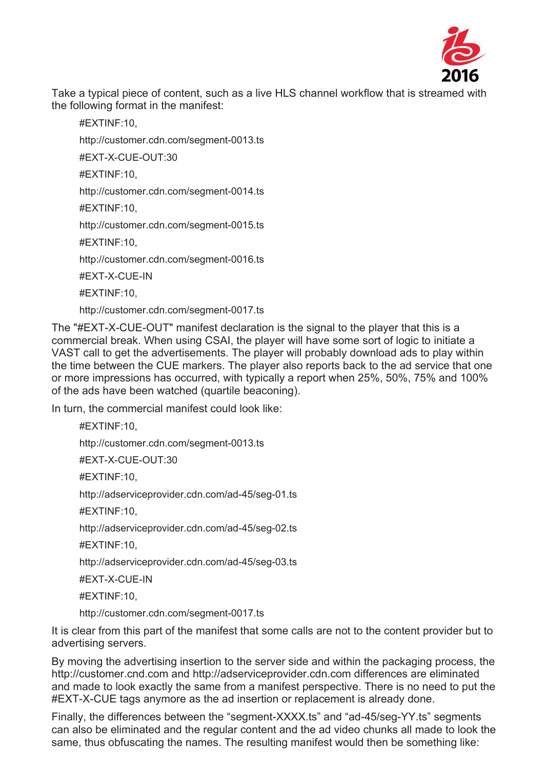

Take a typical piece of content, such as a live HLS channel workflow that is streamed with the following format in the manifest:

#EXTINF:10, http://customer.cdn.com/segment-0013.ts #EXT-X-CUE-OUT:30 #EXTINF:10, http://customer.cdn.com/segment-0014.ts #EXTINF:10, http://customer.cdn.com/segment-0015.ts #EXTINF:10, http://customer.cdn.com/segment-0016.ts #EXT-X-CUE-IN #EXTINF:10, http://customer.cdn.com/segment-0017.ts

The "#EXT-X-CUE-OUT" manifest declaration is the signal to the player that this is a commercial break. When using CSAI, the player will have some sort of logic to initiate a VAST call to get the advertisements. The player will probably download ads to play within the time between the CUE markers. The player also reports back to the ad service that one or more impressions has occurred, with typically a report when 25%, 50%, 75% and 100% of the ads have been watched (quartile beaconing).

In turn, the commercial manifest could look like:

#EXTINF:10, http://customer.cdn.com/segment-0013.ts #EXT-X-CUE-OUT:30 #EXTINF:10, http://adserviceprovider.cdn.com/ad-45/seg-01.ts #EXTINF:10, http://adserviceprovider.cdn.com/ad-45/seg-02.ts #EXTINF:10, http://adserviceprovider.cdn.com/ad-45/seg-03.ts #EXT-X-CUE-IN #EXTINF:10,

http://customer.cdn.com/segment-0017.ts

It is clear from this part of the manifest that some calls are not to the content provider but to advertising servers.

By moving the advertising insertion to the server side and within the packaging process, the http://customer.cnd.com and http://adserviceprovider.cdn.com differences are eliminated and made to look exactly the same from a manifest perspective. There is no need to put the #EXT-X-CUE tags anymore as the ad insertion or replacement is already done.

Finally, the differences between the "segment-XXXX.ts" and "ad-45/seg-YY.ts" segments can also be eliminated and the regular content and the ad video chunks all made to look the same, thus obfuscating the names. The resulting manifest would then be something like: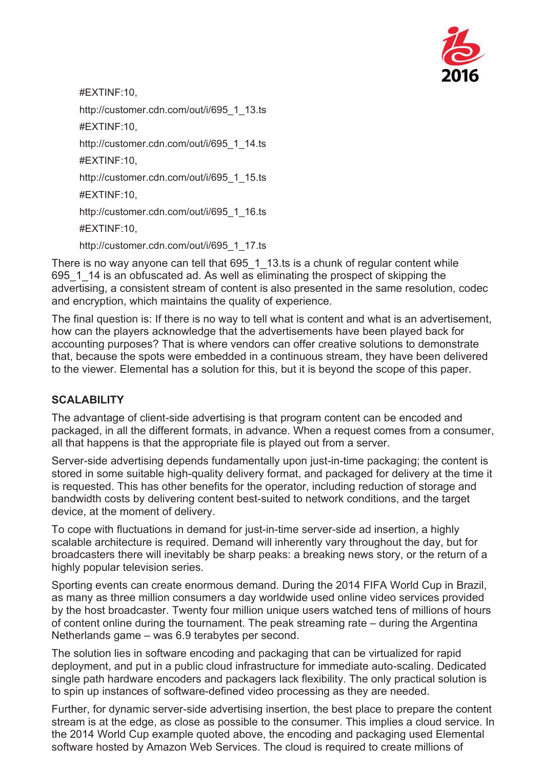

#EXTINF:10, http://customer.cdn.com/out/i/695\_1\_13.ts #EXTINF:10, http://customer.cdn.com/out/i/695\_1\_14.ts #EXTINF:10, http://customer.cdn.com/out/i/695\_1\_15.ts #EXTINF:10, http://customer.cdn.com/out/i/695\_1\_16.ts #EXTINF:10, http://customer.cdn.com/out/i/695\_1\_17.ts

There is no way anyone can tell that 695 1 13.ts is a chunk of regular content while 695\_1\_14 is an obfuscated ad. As well as eliminating the prospect of skipping the advertising, a consistent stream of content is also presented in the same resolution, codec and encryption, which maintains the quality of experience.

The final question is: If there is no way to tell what is content and what is an advertisement, how can the players acknowledge that the advertisements have been played back for accounting purposes? That is where vendors can offer creative solutions to demonstrate that, because the spots were embedded in a continuous stream, they have been delivered to the viewer. Elemental has a solution for this, but it is beyond the scope of this paper.

## **SCALABILITY**

The advantage of client-side advertising is that program content can be encoded and packaged, in all the different formats, in advance. When a request comes from a consumer, all that happens is that the appropriate file is played out from a server.

Server-side advertising depends fundamentally upon just-in-time packaging; the content is stored in some suitable high-quality delivery format, and packaged for delivery at the time it is requested. This has other benefits for the operator, including reduction of storage and bandwidth costs by delivering content best-suited to network conditions, and the target device, at the moment of delivery.

To cope with fluctuations in demand for just-in-time server-side ad insertion, a highly scalable architecture is required. Demand will inherently vary throughout the day, but for broadcasters there will inevitably be sharp peaks: a breaking news story, or the return of a highly popular television series.

Sporting events can create enormous demand. During the 2014 FIFA World Cup in Brazil, as many as three million consumers a day worldwide used online video services provided by the host broadcaster. Twenty four million unique users watched tens of millions of hours of content online during the tournament. The peak streaming rate – during the Argentina Netherlands game – was 6.9 terabytes per second.

The solution lies in software encoding and packaging that can be virtualized for rapid deployment, and put in a public cloud infrastructure for immediate auto-scaling. Dedicated single path hardware encoders and packagers lack flexibility. The only practical solution is to spin up instances of software-defined video processing as they are needed.

Further, for dynamic server-side advertising insertion, the best place to prepare the content stream is at the edge, as close as possible to the consumer. This implies a cloud service. In the 2014 World Cup example quoted above, the encoding and packaging used Elemental software hosted by Amazon Web Services. The cloud is required to create millions of